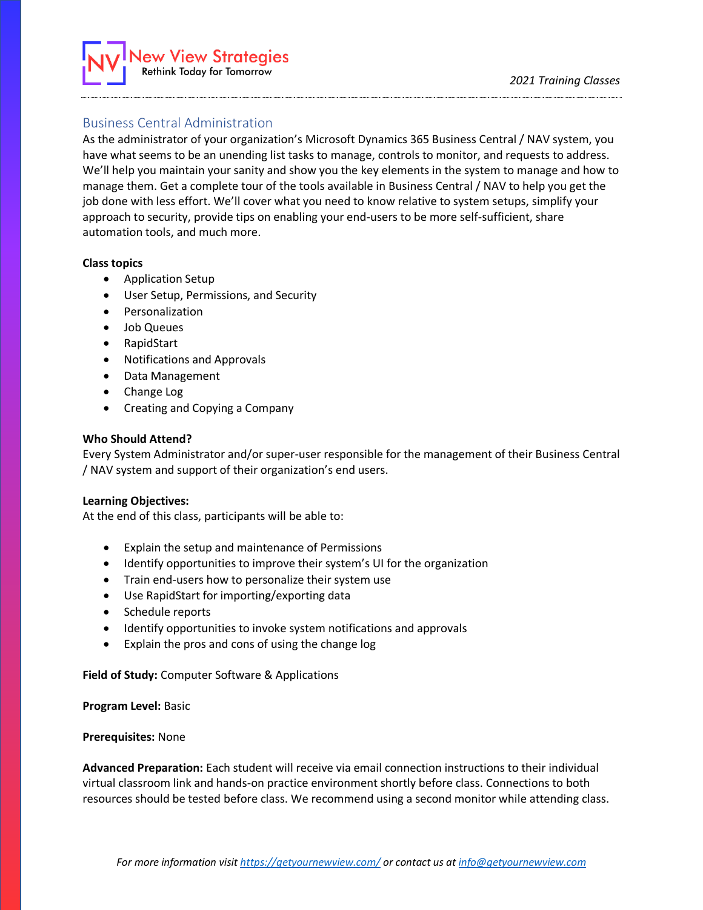# ew View Strategies **Rethink Today for Tomorrow**

## Business Central Administration

As the administrator of your organization's Microsoft Dynamics 365 Business Central / NAV system, you have what seems to be an unending list tasks to manage, controls to monitor, and requests to address. We'll help you maintain your sanity and show you the key elements in the system to manage and how to manage them. Get a complete tour of the tools available in Business Central / NAV to help you get the job done with less effort. We'll cover what you need to know relative to system setups, simplify your approach to security, provide tips on enabling your end-users to be more self-sufficient, share automation tools, and much more.

### **Class topics**

- Application Setup
- User Setup, Permissions, and Security
- Personalization
- Job Queues
- RapidStart
- Notifications and Approvals
- Data Management
- Change Log
- Creating and Copying a Company

### **Who Should Attend?**

Every System Administrator and/or super-user responsible for the management of their Business Central / NAV system and support of their organization's end users.

### **Learning Objectives:**

At the end of this class, participants will be able to:

- Explain the setup and maintenance of Permissions
- Identify opportunities to improve their system's UI for the organization
- Train end-users how to personalize their system use
- Use RapidStart for importing/exporting data
- Schedule reports
- Identify opportunities to invoke system notifications and approvals
- Explain the pros and cons of using the change log

**Field of Study:** Computer Software & Applications

**Program Level:** Basic

### **Prerequisites:** None

**Advanced Preparation:** Each student will receive via email connection instructions to their individual virtual classroom link and hands-on practice environment shortly before class. Connections to both resources should be tested before class. We recommend using a second monitor while attending class.